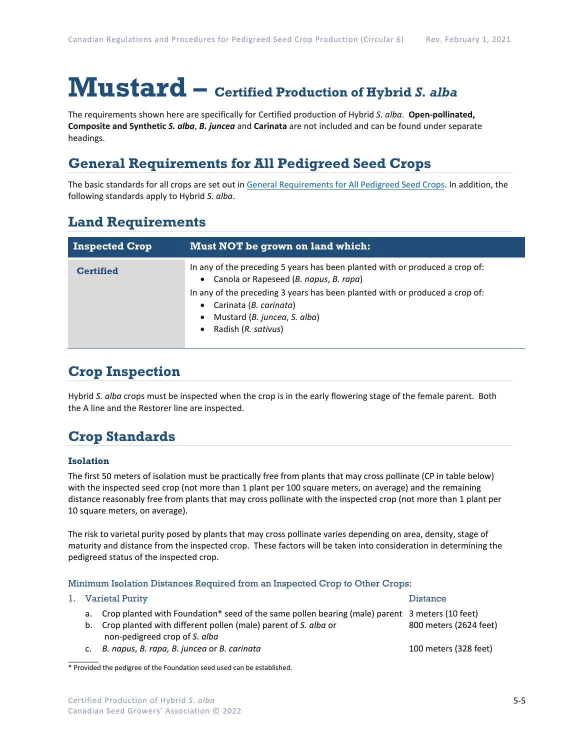# **Mustard – Certified Production of Hybrid** *S. alba*

The requirements shown here are specifically for Certified production of Hybrid *S. alba*. **Open-pollinated, Composite and Synthetic** *S. alba*, *B. juncea* and **Carinata** are not included and can be found under separate headings.

### **General Requirements for All Pedigreed Seed Crops**

The basic standards for all crops are set out i[n General Requirements for All Pedigreed Seed](https://seedgrowers.ca/wp-content/uploads/2020/01/GENERAL-REQUIREMENTS-ALL-CROPS_EN.pdf) Crops. In addition, the following standards apply to Hybrid *S. alba*.

### **Land Requirements**

| <b>Inspected Crop</b> | Must NOT be grown on land which:                                                                                                                                                                                                                                                                     |  |  |
|-----------------------|------------------------------------------------------------------------------------------------------------------------------------------------------------------------------------------------------------------------------------------------------------------------------------------------------|--|--|
| <b>Certified</b>      | In any of the preceding 5 years has been planted with or produced a crop of:<br>Canola or Rapeseed (B. napus, B. rapa)<br>$\bullet$<br>In any of the preceding 3 years has been planted with or produced a crop of:<br>Carinata (B. carinata)<br>Mustard (B. juncea, S. alba)<br>Radish (R. sativus) |  |  |

### **Crop Inspection**

Hybrid *S. alba* crops must be inspected when the crop is in the early flowering stage of the female parent. Both the A line and the Restorer line are inspected.

## **Crop Standards**

### **Isolation**

The first 50 meters of isolation must be practically free from plants that may cross pollinate (CP in table below) with the inspected seed crop (not more than 1 plant per 100 square meters, on average) and the remaining distance reasonably free from plants that may cross pollinate with the inspected crop (not more than 1 plant per 10 square meters, on average).

The risk to varietal purity posed by plants that may cross pollinate varies depending on area, density, stage of maturity and distance from the inspected crop. These factors will be taken into consideration in determining the pedigreed status of the inspected crop.

### Minimum Isolation Distances Required from an Inspected Crop to Other Crops:

|  | 1. Varietal Purity                                                                                | <b>Distance</b>        |  |
|--|---------------------------------------------------------------------------------------------------|------------------------|--|
|  | a. Crop planted with Foundation* seed of the same pollen bearing (male) parent 3 meters (10 feet) |                        |  |
|  | b. Crop planted with different pollen (male) parent of S. alba or                                 | 800 meters (2624 feet) |  |
|  | non-pedigreed crop of S. alba                                                                     |                        |  |
|  | B. napus, B. rapa, B. juncea or B. carinata                                                       | 100 meters (328 feet)  |  |

 $\overline{\phantom{a}}$ \* Provided the pedigree of the Foundation seed used can be established.